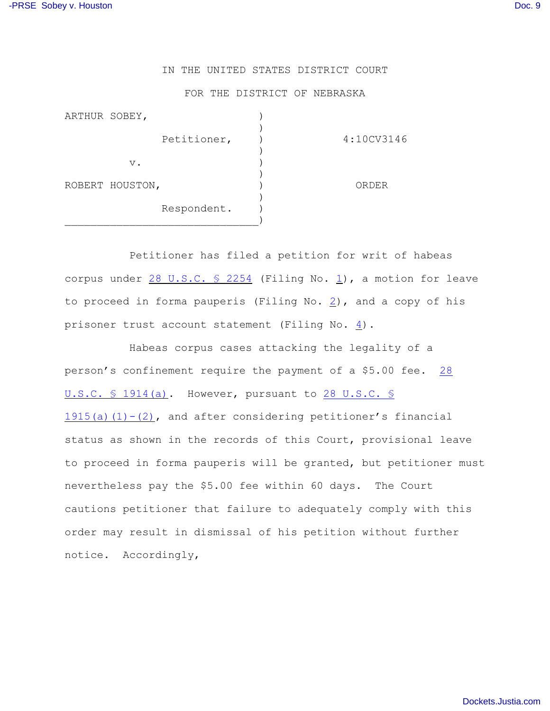## IN THE UNITED STATES DISTRICT COURT

## FOR THE DISTRICT OF NEBRASKA

| ARTHUR SOBEY, |                 |             |            |
|---------------|-----------------|-------------|------------|
|               |                 | Petitioner, | 4:10CV3146 |
|               | $V$ .           |             |            |
|               | ROBERT HOUSTON, |             | ORDER      |
|               |                 | Respondent. |            |

Petitioner has filed a petition for writ of habeas corpus under [28 U.S.C. § 2254](http://www.westlaw.com/find/default.wl?rs=CLWP3.0&vr=2.0&cite=28+USCA+s+2254) (Filing No. [1](http://ecf.ned.uscourts.gov/doc1/11302069854)), a motion for leave to proceed in forma pauperis (Filing No. [2](http://ecf.ned.uscourts.gov/doc1/11302069858)), and a copy of his prisoner trust account statement (Filing No. [4](http://ecf.ned.uscourts.gov/doc1/11302069866)).

Habeas corpus cases attacking the legality of a person's confinement require the payment of a \$5.00 fee. [28](http://www.westlaw.com/find/default.wl?rs=CLWP3.0&vr=2.0&cite=28+USCA+s+1914%28a%29) [U.S.C. § 1914\(a\)](http://www.westlaw.com/find/default.wl?rs=CLWP3.0&vr=2.0&cite=28+USCA+s+1914%28a%29). However, pursuant to [28 U.S.C. §](http://www.westlaw.com/find/default.wl?rs=CLWP3.0&vr=2.0&cite=28+USCA+s+1915%28a%29%281%29-%282%29)  $1915(a)(1)-(2)$ , and after considering petitioner's financial status as shown in the records of this Court, provisional leave to proceed in forma pauperis will be granted, but petitioner must nevertheless pay the \$5.00 fee within 60 days. The Court cautions petitioner that failure to adequately comply with this order may result in dismissal of his petition without further notice. Accordingly,